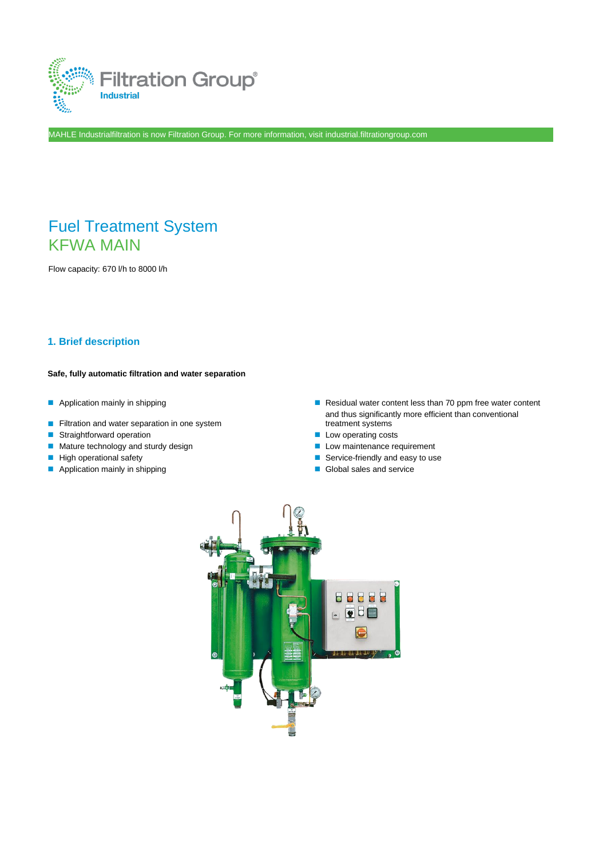

MAHLE Industrialfiltration is now Filtration Group. For more information, visit industrial.filtrationgroup.com

# Fuel Treatment System KFWA MAIN

Flow capacity: 670 l/h to 8000 l/h

#### **1. Brief description**

#### **Safe, fully automatic filtration and water separation**

- 
- Filtration and water separation in one system
- Straightforward operation Low operating costs
- Mature technology and sturdy design ■ Low maintenance requirement
- 
- Application mainly in shipping and service and service and service
- Application mainly in shipping ■ ■ Residual water content less than 70 ppm free water content and thus significantly more efficient than conventional treatment systems
	-
	-
- High operational safety Service-friendly and easy to use
	-

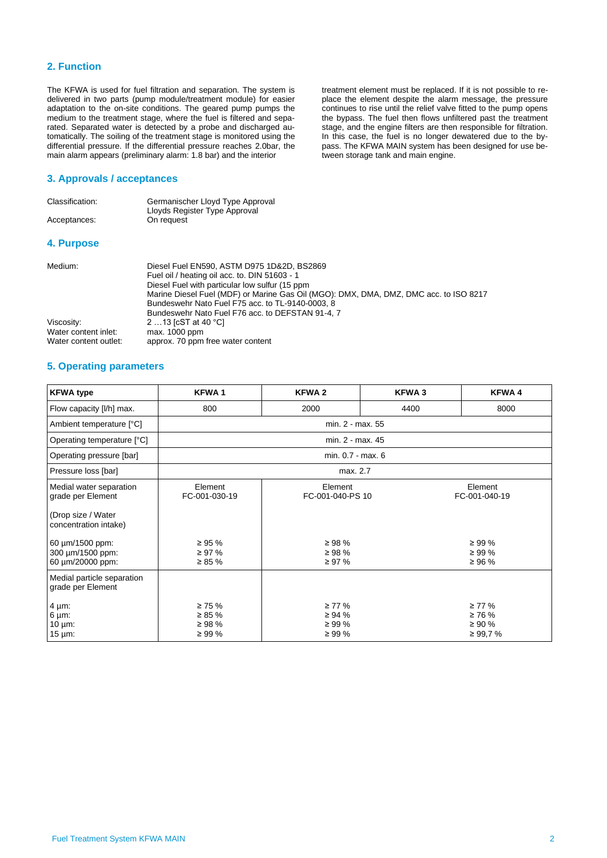#### **2. Function**

The KFWA is used for fuel filtration and separation. The system is delivered in two parts (pump module/treatment module) for easier adaptation to the on-site conditions. The geared pump pumps the medium to the treatment stage, where the fuel is filtered and separated. Separated water is detected by a probe and discharged automatically. The soiling of the treatment stage is monitored using the differential pressure. If the differential pressure reaches 2.0bar, the main alarm appears (preliminary alarm: 1.8 bar) and the interior

#### **3. Approvals / acceptances**

| Classification: | Germanischer Lloyd Type Approval<br>Lloyds Register Type Approval                           |
|-----------------|---------------------------------------------------------------------------------------------|
| Acceptances:    | On request                                                                                  |
| 4. Purpose      |                                                                                             |
| Medium:         | Diesel Fuel EN590, ASTM D975 1D&2D, BS2869<br>Fuel oil / heating oil acc. to. DIN 51603 - 1 |

| .                     |                                                                                       |
|-----------------------|---------------------------------------------------------------------------------------|
|                       | Fuel oil / heating oil acc. to. DIN 51603 - 1                                         |
|                       | Diesel Fuel with particular low sulfur (15 ppm)                                       |
|                       | Marine Diesel Fuel (MDF) or Marine Gas Oil (MGO): DMX, DMA, DMZ, DMC acc. to ISO 8217 |
|                       | Bundeswehr Nato Fuel F75 acc. to TL-9140-0003, 8                                      |
|                       | Bundeswehr Nato Fuel F76 acc. to DEFSTAN 91-4, 7                                      |
| Viscosity:            | 2 13 [cST at 40 °C]                                                                   |
| Water content inlet:  | max. 1000 ppm                                                                         |
| Water content outlet: | approx. 70 ppm free water content                                                     |
|                       |                                                                                       |

treatment element must be replaced. If it is not possible to replace the element despite the alarm message, the pressure continues to rise until the relief valve fitted to the pump opens the bypass. The fuel then flows unfiltered past the treatment stage, and the engine filters are then responsible for filtration. In this case, the fuel is no longer dewatered due to the bypass. The KFWA MAIN system has been designed for use be-

tween storage tank and main engine.

#### **5. Operating parameters**

| <b>KFWA type</b>                                                                                                                                       | <b>KFWA1</b>                                                            | <b>KFWA2</b>                                                             | <b>KFWA3</b> | <b>KFWA4</b>                                                            |  |
|--------------------------------------------------------------------------------------------------------------------------------------------------------|-------------------------------------------------------------------------|--------------------------------------------------------------------------|--------------|-------------------------------------------------------------------------|--|
| Flow capacity [I/h] max.                                                                                                                               | 800                                                                     | 2000                                                                     | 4400         | 8000                                                                    |  |
| Ambient temperature [°C]                                                                                                                               |                                                                         | min. 2 - max. 55                                                         |              |                                                                         |  |
| Operating temperature [°C]                                                                                                                             |                                                                         | min. 2 - max. 45                                                         |              |                                                                         |  |
| Operating pressure [bar]                                                                                                                               |                                                                         | min. 0.7 - max. 6                                                        |              |                                                                         |  |
| Pressure loss [bar]                                                                                                                                    | max. 2.7                                                                |                                                                          |              |                                                                         |  |
| Medial water separation<br>grade per Element<br>(Drop size / Water<br>concentration intake)<br>60 µm/1500 ppm:<br>300 um/1500 ppm:<br>60 µm/20000 ppm: | Element<br>FC-001-030-19<br>$\geq 95 \%$<br>$\geq$ 97 %<br>$\geq 85 \%$ | Element<br>FC-001-040-PS 10<br>$\geq$ 98 %<br>$\geq$ 98 %<br>$\geq 97\%$ |              | Element<br>FC-001-040-19<br>$\geq 99 \%$<br>$\geq$ 99 %<br>$\geq 96 \%$ |  |
| Medial particle separation<br>grade per Element<br>$4 \mu m$ :<br>$6 \mu m$ :<br>10 $\mu$ m:<br>$15 \mu m$ :                                           | $\geq 75 \%$<br>$\geq 85 \%$<br>$\geq$ 98 %<br>$\geq 99 \%$             | $\geq 77\%$<br>$\geq 94 \%$<br>$\geq 99\%$<br>$\geq 99\%$                |              | $\geq 77\%$<br>$\geq 76 \%$<br>$\geq 90 \%$<br>$\geq 99.7 \%$           |  |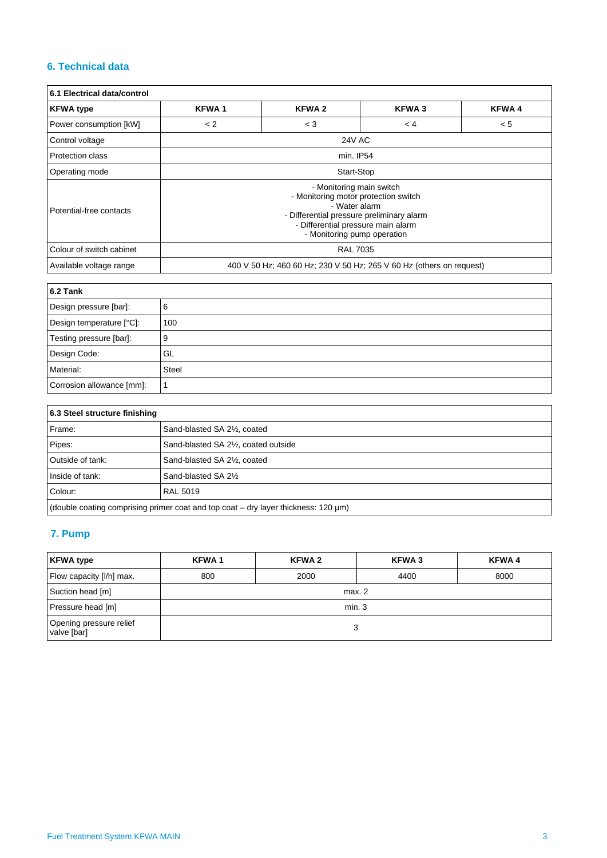### **6. Technical data**

| 6.1 Electrical data/control |                                                                                                                                                                                                     |               |     |     |  |  |
|-----------------------------|-----------------------------------------------------------------------------------------------------------------------------------------------------------------------------------------------------|---------------|-----|-----|--|--|
| <b>KFWA type</b>            | <b>KFWA2</b><br><b>KFWA1</b><br><b>KFWA3</b><br><b>KFWA4</b>                                                                                                                                        |               |     |     |  |  |
| Power consumption [kW]      | < 2                                                                                                                                                                                                 | $<$ 3         | < 4 | < 5 |  |  |
| Control voltage             |                                                                                                                                                                                                     | <b>24V AC</b> |     |     |  |  |
| Protection class            | min. IP54                                                                                                                                                                                           |               |     |     |  |  |
| Operating mode              | Start-Stop                                                                                                                                                                                          |               |     |     |  |  |
| Potential-free contacts     | - Monitoring main switch<br>- Monitoring motor protection switch<br>- Water alarm<br>- Differential pressure preliminary alarm<br>- Differential pressure main alarm<br>- Monitoring pump operation |               |     |     |  |  |
| Colour of switch cabinet    | <b>RAL 7035</b>                                                                                                                                                                                     |               |     |     |  |  |
| Available voltage range     | 400 V 50 Hz; 460 60 Hz; 230 V 50 Hz; 265 V 60 Hz (others on request)                                                                                                                                |               |     |     |  |  |

| 6.2 Tank                  |              |  |
|---------------------------|--------------|--|
| Design pressure [bar]:    | 6            |  |
| Design temperature [°C]:  | 100          |  |
| Testing pressure [bar]:   | 9            |  |
| Design Code:              | GL           |  |
| Material:                 | <b>Steel</b> |  |
| Corrosion allowance [mm]: |              |  |

| 6.3 Steel structure finishing                                                      |                                      |  |  |
|------------------------------------------------------------------------------------|--------------------------------------|--|--|
| Frame:                                                                             | Sand-blasted SA 21/2, coated         |  |  |
| Pipes:                                                                             | Sand-blasted SA 21/2, coated outside |  |  |
| Outside of tank:                                                                   | Sand-blasted SA 21/2, coated         |  |  |
| Inside of tank:                                                                    | Sand-blasted SA 2%                   |  |  |
| Colour:                                                                            | <b>RAL 5019</b>                      |  |  |
| (double coating comprising primer coat and top coat - dry layer thickness: 120 µm) |                                      |  |  |

## **7. Pump**

| <b>KFWA type</b>                       | KFWA <sub>1</sub> | <b>KFWA2</b> | <b>KFWA3</b> | <b>KFWA4</b> |  |
|----------------------------------------|-------------------|--------------|--------------|--------------|--|
| Flow capacity [I/h] max.               | 800               | 2000         | 4400         | 8000         |  |
| Suction head [m]                       | max. 2            |              |              |              |  |
| Pressure head [m]                      | min.3             |              |              |              |  |
| Opening pressure relief<br>valve [bar] |                   |              | 3            |              |  |